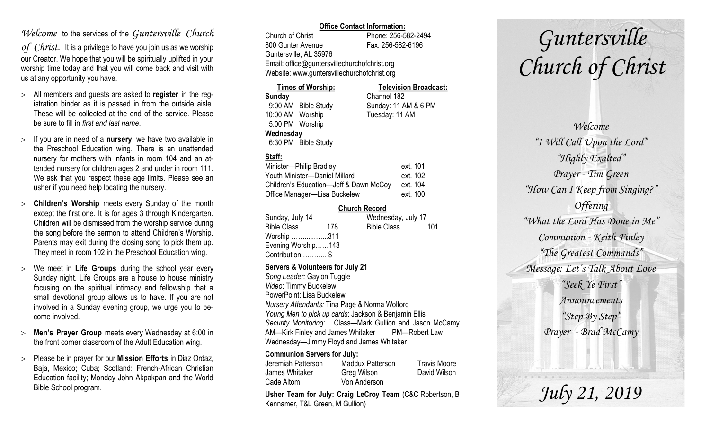# *Welcome* to the services of the *Guntersville Church*

*of Christ*. It is a privilege to have you join us as we worship our Creator. We hope that you will be spiritually uplifted in your worship time today and that you will come back and visit with us at any opportunity you have.

- All members and guests are asked to **register** in the registration binder as it is passed in from the outside aisle. These will be collected at the end of the service. Please be sure to fill in *first and last name*.
- $>$  If you are in need of a **nursery**, we have two available in the Preschool Education wing. There is an unattended nursery for mothers with infants in room 104 and an attended nursery for children ages 2 and under in room 111. We ask that you respect these age limits. Please see an usher if you need help locating the nursery.
- **Children's Worship** meets every Sunday of the month except the first one. It is for ages 3 through Kindergarten. Children will be dismissed from the worship service during the song before the sermon to attend Children's Worship. Parents may exit during the closing song to pick them up. They meet in room 102 in the Preschool Education wing.
- We meet in **Life Groups** during the school year every Sunday night. Life Groups are a house to house ministry focusing on the spiritual intimacy and fellowship that a small devotional group allows us to have. If you are not involved in a Sunday evening group, we urge you to become involved.
- **Men's Prayer Group** meets every Wednesday at 6:00 in the front corner classroom of the Adult Education wing.
- Please be in prayer for our **Mission Efforts** in Diaz Ordaz, Baja, Mexico; Cuba; Scotland: French-African Christian Education facility; Monday John Akpakpan and the World Bible School program.

### **Office Contact Information:**

Church of Christ Phone: 256-582-2494 800 Gunter Avenue Fax: 256-582-6196 Guntersville, AL 35976 Email: office@guntersvillechurchofchrist.org Website: www.guntersvillechurchofchrist.org

#### **Times of Worship: Television Broadcast: Sunday** Channel 182 9:00 AM Bible Study Sunday: 11 AM & 6 PM 10:00 AM Worship Tuesday: 11 AM 5:00 PM Worship **Wednesday** 6:30 PM Bible Study

# **Staff:**

| Minister-Philip Bradley                | ext. 101 |
|----------------------------------------|----------|
| Youth Minister-Daniel Millard          | ext. 102 |
| Children's Education-Jeff & Dawn McCoy | ext. 104 |
| Office Manager-Lisa Buckelew           | ext. 100 |

## **Church Record**

| Sunday, July 14    |  | Wednesday, July 17 |  |
|--------------------|--|--------------------|--|
| Bible Class178     |  | Bible Class101     |  |
| Worship 311        |  |                    |  |
| Evening Worship143 |  |                    |  |
| Contribution  \$   |  |                    |  |
|                    |  |                    |  |

#### **Servers & Volunteers for July 21**

*Song Leader:* Gaylon Tuggle *Video*: Timmy Buckelew PowerPoint: Lisa Buckelew *Nursery Attendants:* Tina Page & Norma Wolford *Young Men to pick up cards*: Jackson & Benjamin Ellis *Security Monitoring*: Class—Mark Gullion and Jason McCamy AM—Kirk Finley and James Whitaker PM—Robert Law Wednesday—Jimmy Floyd and James Whitaker

## **Communion Servers for July:**

| Jeremiah Patterson | Maddux Patterson | <b>Travis Moore</b> |
|--------------------|------------------|---------------------|
| James Whitaker     | Greg Wilson      | David Wilson        |
| Cade Altom         | Von Anderson     |                     |

**Usher Team for July: Craig LeCroy Team** (C&C Robertson, B Kennamer, T&L Green, M Gullion)

# *Guntersville Church of Christ*

*Welcome "I Will Call Upon the Lord" "Highly Exalted" Prayer - Tim Green "How Can I Keep from Singing?" Offering "What the Lord Has Done in Me" Communion - Keith Finley "The Greatest Commands" Message: Let's Talk About Love "Seek Ye First" Announcements "Step By Step" Prayer - Brad McCamy*

*July 21, 2019*